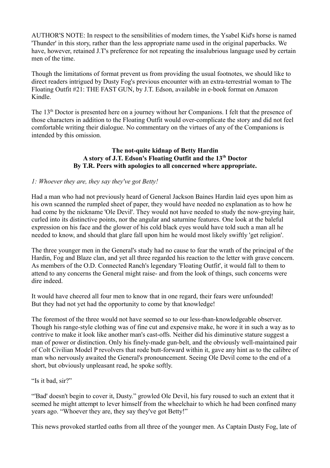AUTHOR'S NOTE: In respect to the sensibilities of modern times, the Ysabel Kid's horse is named 'Thunder' in this story, rather than the less appropriate name used in the original paperbacks. We have, however, retained J.T's preference for not repeating the insalubrious language used by certain men of the time.

Though the limitations of format prevent us from providing the usual footnotes, we should like to direct readers intrigued by Dusty Fog's previous encounter with an extra-terrestrial woman to The Floating Outfit #21: THE FAST GUN, by J.T. Edson, available in e-book format on Amazon Kindle.

The 13<sup>th</sup> Doctor is presented here on a journey without her Companions. I felt that the presence of those characters in addition to the Floating Outfit would over-complicate the story and did not feel comfortable writing their dialogue. No commentary on the virtues of any of the Companions is intended by this omission.

## **The not-quite kidnap of Betty Hardin A story of J.T. Edson's Floating Outfit and the 13th Doctor By T.R. Peers with apologies to all concerned where appropriate.**

# *1: Whoever they are, they say they've got Betty!*

Had a man who had not previously heard of General Jackson Baines Hardin laid eyes upon him as his own scanned the rumpled sheet of paper, they would have needed no explanation as to how he had come by the nickname 'Ole Devil'. They would not have needed to study the now-greying hair, curled into its distinctive points, nor the angular and saturnine features. One look at the baleful expression on his face and the glower of his cold black eyes would have told such a man all he needed to know, and should that glare fall upon him he would most likely swiftly 'get religion'.

The three younger men in the General's study had no cause to fear the wrath of the principal of the Hardin, Fog and Blaze clan, and yet all three regarded his reaction to the letter with grave concern. As members of the O.D. Connected Ranch's legendary 'Floating Outfit', it would fall to them to attend to any concerns the General might raise- and from the look of things, such concerns were dire indeed.

It would have cheered all four men to know that in one regard, their fears were unfounded! But they had not yet had the opportunity to come by that knowledge!

The foremost of the three would not have seemed so to our less-than-knowledgeable observer. Though his range-style clothing was of fine cut and expensive make, he wore it in such a way as to contrive to make it look like another man's cast-offs. Neither did his diminutive stature suggest a man of power or distinction. Only his finely-made gun-belt, and the obviously well-maintained pair of Colt Civilian Model P revolvers that rode butt-forward within it, gave any hint as to the calibre of man who nervously awaited the General's pronouncement. Seeing Ole Devil come to the end of a short, but obviously unpleasant read, he spoke softly.

"Is it bad. sir?"

"'Bad' doesn't begin to cover it, Dusty." growled Ole Devil, his fury roused to such an extent that it seemed he might attempt to lever himself from the wheelchair to which he had been confined many years ago. "Whoever they are, they say they've got Betty!"

This news provoked startled oaths from all three of the younger men. As Captain Dusty Fog, late of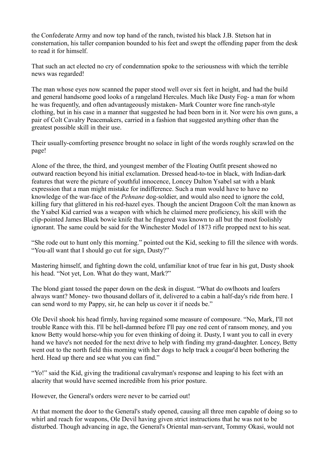the Confederate Army and now top hand of the ranch, twisted his black J.B. Stetson hat in consternation, his taller companion bounded to his feet and swept the offending paper from the desk to read it for himself.

That such an act elected no cry of condemnation spoke to the seriousness with which the terrible news was regarded!

The man whose eyes now scanned the paper stood well over six feet in height, and had the build and general handsome good looks of a rangeland Hercules. Much like Dusty Fog- a man for whom he was frequently, and often advantageously mistaken- Mark Counter wore fine ranch-style clothing, but in his case in a manner that suggested he had been born in it. Nor were his own guns, a pair of Colt Cavalry Peacemakers, carried in a fashion that suggested anything other than the greatest possible skill in their use.

Their usually-comforting presence brought no solace in light of the words roughly scrawled on the page!

Alone of the three, the third, and youngest member of the Floating Outfit present showed no outward reaction beyond his initial exclamation. Dressed head-to-toe in black, with Indian-dark features that were the picture of youthful innocence, Loncey Dalton Ysabel sat with a blank expression that a man might mistake for indifference. Such a man would have to have no knowledge of the war-face of the *Pehnane* dog-soldier, and would also need to ignore the cold, killing fury that glittered in his red-hazel eyes. Though the ancient Dragoon Colt the man known as the Ysabel Kid carried was a weapon with which he claimed mere proficiency, his skill with the clip-pointed James Black bowie knife that he fingered was known to all but the most foolishly ignorant. The same could be said for the Winchester Model of 1873 rifle propped next to his seat.

"She rode out to hunt only this morning." pointed out the Kid, seeking to fill the silence with words. "You-all want that I should go cut for sign, Dusty?"

Mastering himself, and fighting down the cold, unfamiliar knot of true fear in his gut, Dusty shook his head. "Not yet, Lon. What do they want, Mark?"

The blond giant tossed the paper down on the desk in disgust. "What do owlhoots and loafers always want? Money- two thousand dollars of it, delivered to a cabin a half-day's ride from here. I can send word to my Pappy, sir, he can help us cover it if needs be."

Ole Devil shook his head firmly, having regained some measure of composure. "No, Mark, I'll not trouble Rance with this. I'll be hell-damned before I'll pay one red cent of ransom money, and you know Betty would horse-whip you for even thinking of doing it. Dusty, I want you to call in every hand we have's not needed for the next drive to help with finding my grand-daughter. Loncey, Betty went out to the north field this morning with her dogs to help track a cougar'd been bothering the herd. Head up there and see what you can find."

"Yo!" said the Kid, giving the traditional cavalryman's response and leaping to his feet with an alacrity that would have seemed incredible from his prior posture.

However, the General's orders were never to be carried out!

At that moment the door to the General's study opened, causing all three men capable of doing so to whirl and reach for weapons, Ole Devil having given strict instructions that he was not to be disturbed. Though advancing in age, the General's Oriental man-servant, Tommy Okasi, would not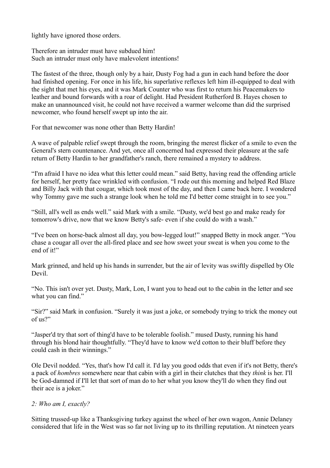lightly have ignored those orders.

Therefore an intruder must have subdued him! Such an intruder must only have malevolent intentions!

The fastest of the three, though only by a hair, Dusty Fog had a gun in each hand before the door had finished opening. For once in his life, his superlative reflexes left him ill-equipped to deal with the sight that met his eyes, and it was Mark Counter who was first to return his Peacemakers to leather and bound forwards with a roar of delight. Had President Rutherford B. Hayes chosen to make an unannounced visit, he could not have received a warmer welcome than did the surprised newcomer, who found herself swept up into the air.

For that newcomer was none other than Betty Hardin!

A wave of palpable relief swept through the room, bringing the merest flicker of a smile to even the General's stern countenance. And yet, once all concerned had expressed their pleasure at the safe return of Betty Hardin to her grandfather's ranch, there remained a mystery to address.

"I'm afraid I have no idea what this letter could mean." said Betty, having read the offending article for herself, her pretty face wrinkled with confusion. "I rode out this morning and helped Red Blaze and Billy Jack with that cougar, which took most of the day, and then I came back here. I wondered why Tommy gave me such a strange look when he told me I'd better come straight in to see you."

"Still, all's well as ends well." said Mark with a smile. "Dusty, we'd best go and make ready for tomorrow's drive, now that we know Betty's safe- even if she could do with a wash."

"I've been on horse-back almost all day, you bow-legged lout!" snapped Betty in mock anger. "You chase a cougar all over the all-fired place and see how sweet your sweat is when you come to the end of it!"

Mark grinned, and held up his hands in surrender, but the air of levity was swiftly dispelled by Ole Devil.

"No. This isn't over yet. Dusty, Mark, Lon, I want you to head out to the cabin in the letter and see what you can find."

"Sir?" said Mark in confusion. "Surely it was just a joke, or somebody trying to trick the money out of us?"

"Jasper'd try that sort of thing'd have to be tolerable foolish." mused Dusty, running his hand through his blond hair thoughtfully. "They'd have to know we'd cotton to their bluff before they could cash in their winnings."

Ole Devil nodded. "Yes, that's how I'd call it. I'd lay you good odds that even if it's not Betty, there's a pack of *hombres* somewhere near that cabin with a girl in their clutches that they *think* is her. I'll be God-damned if I'll let that sort of man do to her what you know they'll do when they find out their ace is a joker."

#### *2: Who am I, exactly?*

Sitting trussed-up like a Thanksgiving turkey against the wheel of her own wagon, Annie Delaney considered that life in the West was so far not living up to its thrilling reputation. At nineteen years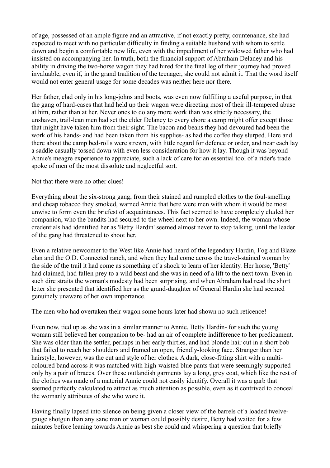of age, possessed of an ample figure and an attractive, if not exactly pretty, countenance, she had expected to meet with no particular difficulty in finding a suitable husband with whom to settle down and begin a comfortable new life, even with the impediment of her widowed father who had insisted on accompanying her. In truth, both the financial support of Abraham Delaney and his ability in driving the two-horse wagon they had hired for the final leg of their journey had proved invaluable, even if, in the grand tradition of the teenager, she could not admit it. That the word itself would not enter general usage for some decades was neither here nor there.

Her father, clad only in his long-johns and boots, was even now fulfilling a useful purpose, in that the gang of hard-cases that had held up their wagon were directing most of their ill-tempered abuse at him, rather than at her. Never ones to do any more work than was strictly necessary, the unshaven, trail-lean men had set the elder Delaney to every chore a camp might offer except those that might have taken him from their sight. The bacon and beans they had devoured had been the work of his hands- and had been taken from his supplies- as had the coffee they slurped. Here and there about the camp bed-rolls were strewn, with little regard for defence or order, and near each lay a saddle casually tossed down with even less consideration for how it lay. Though it was beyond Annie's meagre experience to appreciate, such a lack of care for an essential tool of a rider's trade spoke of men of the most dissolute and neglectful sort.

#### Not that there were no other clues!

Everything about the six-strong gang, from their stained and rumpled clothes to the foul-smelling and cheap tobacco they smoked, warned Annie that here were men with whom it would be most unwise to form even the briefest of acquaintances. This fact seemed to have completely eluded her companion, who the bandits had secured to the wheel next to her own. Indeed, the woman whose credentials had identified her as 'Betty Hardin' seemed almost never to stop talking, until the leader of the gang had threatened to shoot her.

Even a relative newcomer to the West like Annie had heard of the legendary Hardin, Fog and Blaze clan and the O.D. Connected ranch, and when they had come across the travel-stained woman by the side of the trail it had come as something of a shock to learn of her identity. Her horse, 'Betty' had claimed, had fallen prey to a wild beast and she was in need of a lift to the next town. Even in such dire straits the woman's modesty had been surprising, and when Abraham had read the short letter she presented that identified her as the grand-daughter of General Hardin she had seemed genuinely unaware of her own importance.

The men who had overtaken their wagon some hours later had shown no such reticence!

Even now, tied up as she was in a similar manner to Annie, Betty Hardin- for such the young woman still believed her companion to be- had an air of complete indifference to her predicament. She was older than the settler, perhaps in her early thirties, and had blonde hair cut in a short bob that failed to reach her shoulders and framed an open, friendly-looking face. Stranger than her hairstyle, however, was the cut and style of her clothes. A dark, close-fitting shirt with a multicoloured band across it was matched with high-waisted blue pants that were seemingly supported only by a pair of braces. Over these outlandish garments lay a long, grey coat, which like the rest of the clothes was made of a material Annie could not easily identify. Overall it was a garb that seemed perfectly calculated to attract as much attention as possible, even as it contrived to conceal the womanly attributes of she who wore it.

Having finally lapsed into silence on being given a closer view of the barrels of a loaded twelvegauge shotgun than any sane man or woman could possibly desire, Betty had waited for a few minutes before leaning towards Annie as best she could and whispering a question that briefly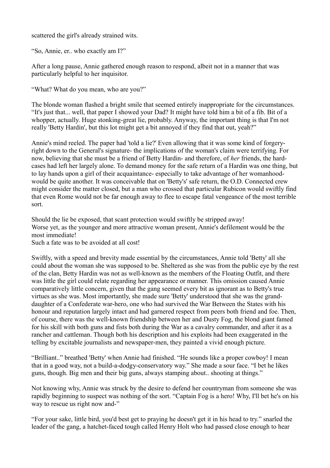scattered the girl's already strained wits.

"So, Annie, er.. who exactly am I?"

After a long pause, Annie gathered enough reason to respond, albeit not in a manner that was particularly helpful to her inquisitor.

"What? What do you mean, who are you?"

The blonde woman flashed a bright smile that seemed entirely inappropriate for the circumstances. "It's just that... well, that paper I showed your Dad? It might have told him a bit of a fib. Bit of a whopper, actually. Huge stonking-great lie, probably. Anyway, the important thing is that I'm not really 'Betty Hardin', but this lot might get a bit annoyed if they find that out, yeah?"

Annie's mind reeled. The paper had 'told a lie?' Even allowing that it was some kind of forgeryright down to the General's signature- the implications of the woman's claim were terrifying. For now, believing that she must be a friend of Betty Hardin- and therefore, of *her* friends, the hardcases had left her largely alone. To demand money for the safe return of a Hardin was one thing, but to lay hands upon a girl of their acquaintance- especially to take advantage of her womanhoodwould be quite another. It was conceivable that on 'Betty's' safe return, the O.D. Connected crew might consider the matter closed, but a man who crossed that particular Rubicon would swiftly find that even Rome would not be far enough away to flee to escape fatal vengeance of the most terrible sort.

Should the lie be exposed, that scant protection would swiftly be stripped away! Worse yet, as the younger and more attractive woman present, Annie's defilement would be the most immediate!

Such a fate was to be avoided at all cost!

Swiftly, with a speed and brevity made essential by the circumstances, Annie told 'Betty' all she could about the woman she was supposed to be. Sheltered as she was from the public eye by the rest of the clan, Betty Hardin was not as well-known as the members of the Floating Outfit, and there was little the girl could relate regarding her appearance or manner. This omission caused Annie comparatively little concern, given that the gang seemed every bit as ignorant as to Betty's true virtues as she was. Most importantly, she made sure 'Betty' understood that she was the granddaughter of a Confederate war-hero, one who had survived the War Between the States with his honour and reputation largely intact and had garnered respect from peers both friend and foe. Then, of course, there was the well-known friendship between her and Dusty Fog, the blond giant famed for his skill with both guns and fists both during the War as a cavalry commander, and after it as a rancher and cattleman. Though both his description and his exploits had been exaggerated in the telling by excitable journalists and newspaper-men, they painted a vivid enough picture.

"Brilliant.." breathed 'Betty' when Annie had finished. "He sounds like a proper cowboy! I mean that in a good way, not a build-a-dodgy-conservatory way." She made a sour face. "I bet he likes guns, though. Big men and their big guns, always stamping about.. shooting at things."

Not knowing why, Annie was struck by the desire to defend her countryman from someone she was rapidly beginning to suspect was nothing of the sort. "Captain Fog is a hero! Why, I'll bet he's on his way to rescue us right now and-"

"For your sake, little bird, you'd best get to praying he doesn't get it in his head to try." snarled the leader of the gang, a hatchet-faced tough called Henry Holt who had passed close enough to hear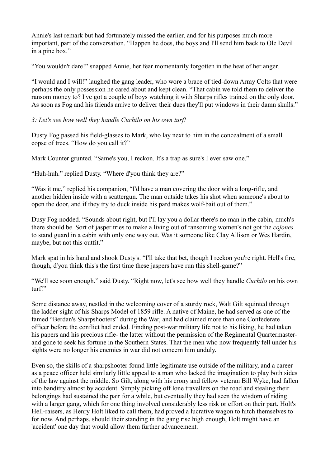Annie's last remark but had fortunately missed the earlier, and for his purposes much more important, part of the conversation. "Happen he does, the boys and I'll send him back to Ole Devil in a pine box."

"You wouldn't dare!" snapped Annie, her fear momentarily forgotten in the heat of her anger.

"I would and I will!" laughed the gang leader, who wore a brace of tied-down Army Colts that were perhaps the only possession he cared about and kept clean. "That cabin we told them to deliver the ransom money to? I've got a couple of boys watching it with Sharps rifles trained on the only door. As soon as Fog and his friends arrive to deliver their dues they'll put windows in their damn skulls."

#### *3: Let's see how well they handle Cuchilo on his own turf!*

Dusty Fog passed his field-glasses to Mark, who lay next to him in the concealment of a small copse of trees. "How do you call it?"

Mark Counter grunted. "Same's you, I reckon. It's a trap as sure's I ever saw one."

"Huh-huh." replied Dusty. "Where d'you think they are?"

"Was it me," replied his companion, "I'd have a man covering the door with a long-rifle, and another hidden inside with a scattergun. The man outside takes his shot when someone's about to open the door, and if they try to duck inside his pard makes wolf-bait out of them."

Dusy Fog nodded. "Sounds about right, but I'll lay you a dollar there's no man in the cabin, much's there should be. Sort of jasper tries to make a living out of ransoming women's not got the *cojones* to stand guard in a cabin with only one way out. Was it someone like Clay Allison or Wes Hardin, maybe, but not this outfit."

Mark spat in his hand and shook Dusty's. "I'll take that bet, though I reckon you're right. Hell's fire, though, d'you think this's the first time these jaspers have run this shell-game?"

"We'll see soon enough." said Dusty. "Right now, let's see how well they handle *Cuchilo* on his own turf!"

Some distance away, nestled in the welcoming cover of a sturdy rock, Walt Gilt squinted through the ladder-sight of his Sharps Model of 1859 rifle. A native of Maine, he had served as one of the famed "Berdan's Sharpshooters" during the War, and had claimed more than one Confederate officer before the conflict had ended. Finding post-war military life not to his liking, he had taken his papers and his precious rifle- the latter without the permission of the Regimental Quartermasterand gone to seek his fortune in the Southern States. That the men who now frequently fell under his sights were no longer his enemies in war did not concern him unduly.

Even so, the skills of a sharpshooter found little legitimate use outside of the military, and a career as a peace officer held similarly little appeal to a man who lacked the imagination to play both sides of the law against the middle. So Gilt, along with his crony and fellow veteran Bill Wyke, had fallen into banditry almost by accident. Simply picking off lone travellers on the road and stealing their belongings had sustained the pair for a while, but eventually they had seen the wisdom of riding with a larger gang, which for one thing involved considerably less risk or effort on their part. Holt's Hell-raisers, as Henry Holt liked to call them, had proved a lucrative wagon to hitch themselves to for now. And perhaps, should their standing in the gang rise high enough, Holt might have an 'accident' one day that would allow them further advancement.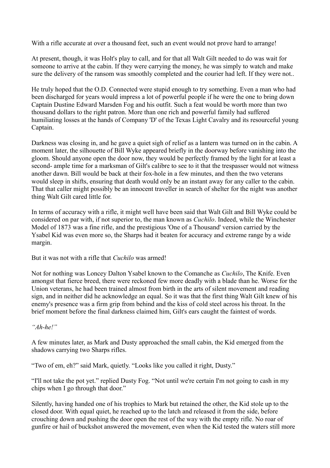With a rifle accurate at over a thousand feet, such an event would not prove hard to arrange!

At present, though, it was Holt's play to call, and for that all Walt Gilt needed to do was wait for someone to arrive at the cabin. If they were carrying the money, he was simply to watch and make sure the delivery of the ransom was smoothly completed and the courier had left. If they were not..

He truly hoped that the O.D. Connected were stupid enough to try something. Even a man who had been discharged for years would impress a lot of powerful people if he were the one to bring down Captain Dustine Edward Marsden Fog and his outfit. Such a feat would be worth more than two thousand dollars to the right patron. More than one rich and powerful family had suffered humiliating losses at the hands of Company 'D' of the Texas Light Cavalry and its resourceful young Captain.

Darkness was closing in, and he gave a quiet sigh of relief as a lantern was turned on in the cabin. A moment later, the silhouette of Bill Wyke appeared briefly in the doorway before vanishing into the gloom. Should anyone open the door now, they would be perfectly framed by the light for at least a second- ample time for a marksman of Gilt's calibre to see to it that the trespasser would not witness another dawn. Bill would be back at their fox-hole in a few minutes, and then the two veterans would sleep in shifts, ensuring that death would only be an instant away for any caller to the cabin. That that caller might possibly be an innocent traveller in search of shelter for the night was another thing Walt Gilt cared little for.

In terms of accuracy with a rifle, it might well have been said that Walt Gilt and Bill Wyke could be considered on par with, if not superior to, the man known as *Cuchilo*. Indeed, while the Winchester Model of 1873 was a fine rifle, and the prestigious 'One of a Thousand' version carried by the Ysabel Kid was even more so, the Sharps had it beaten for accuracy and extreme range by a wide margin.

But it was not with a rifle that *Cuchilo* was armed!

Not for nothing was Loncey Dalton Ysabel known to the Comanche as *Cuchilo*, The Knife. Even amongst that fierce breed, there were reckoned few more deadly with a blade than he. Worse for the Union veterans, he had been trained almost from birth in the arts of silent movement and reading sign, and in neither did he acknowledge an equal. So it was that the first thing Walt Gilt knew of his enemy's presence was a firm grip from behind and the kiss of cold steel across his throat. In the brief moment before the final darkness claimed him, Gilt's ears caught the faintest of words.

*"Ah-he!"*

A few minutes later, as Mark and Dusty approached the small cabin, the Kid emerged from the shadows carrying two Sharps rifles.

"Two of em, eh?" said Mark, quietly. "Looks like you called it right, Dusty."

"I'll not take the pot yet." replied Dusty Fog. "Not until we're certain I'm not going to cash in my chips when I go through that door."

Silently, having handed one of his trophies to Mark but retained the other, the Kid stole up to the closed door. With equal quiet, he reached up to the latch and released it from the side, before crouching down and pushing the door open the rest of the way with the empty rifle. No roar of gunfire or hail of buckshot answered the movement, even when the Kid tested the waters still more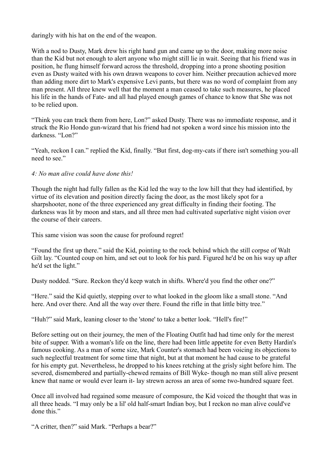daringly with his hat on the end of the weapon.

With a nod to Dusty, Mark drew his right hand gun and came up to the door, making more noise than the Kid but not enough to alert anyone who might still lie in wait. Seeing that his friend was in position, he flung himself forward across the threshold, dropping into a prone shooting position even as Dusty waited with his own drawn weapons to cover him. Neither precaution achieved more than adding more dirt to Mark's expensive Levi pants, but there was no word of complaint from any man present. All three knew well that the moment a man ceased to take such measures, he placed his life in the hands of Fate- and all had played enough games of chance to know that She was not to be relied upon.

"Think you can track them from here, Lon?" asked Dusty. There was no immediate response, and it struck the Rio Hondo gun-wizard that his friend had not spoken a word since his mission into the darkness. "Lon?"

"Yeah, reckon I can." replied the Kid, finally. "But first, dog-my-cats if there isn't something you-all need to see."

## *4: No man alive could have done this!*

Though the night had fully fallen as the Kid led the way to the low hill that they had identified, by virtue of its elevation and position directly facing the door, as the most likely spot for a sharpshooter, none of the three experienced any great difficulty in finding their footing. The darkness was lit by moon and stars, and all three men had cultivated superlative night vision over the course of their careers.

This same vision was soon the cause for profound regret!

"Found the first up there." said the Kid, pointing to the rock behind which the still corpse of Walt Gilt lay. "Counted coup on him, and set out to look for his pard. Figured he'd be on his way up after he'd set the light."

Dusty nodded. "Sure. Reckon they'd keep watch in shifts. Where'd you find the other one?"

"Here." said the Kid quietly, stepping over to what looked in the gloom like a small stone. "And here. And over there. And all the way over there. Found the rifle in that little bitty tree."

"Huh?" said Mark, leaning closer to the 'stone' to take a better look. "Hell's fire!"

Before setting out on their journey, the men of the Floating Outfit had had time only for the merest bite of supper. With a woman's life on the line, there had been little appetite for even Betty Hardin's famous cooking. As a man of some size, Mark Counter's stomach had been voicing its objections to such neglectful treatment for some time that night, but at that moment he had cause to be grateful for his empty gut. Nevertheless, he dropped to his knees retching at the grisly sight before him. The severed, dismembered and partially-chewed remains of Bill Wyke- though no man still alive present knew that name or would ever learn it- lay strewn across an area of some two-hundred square feet.

Once all involved had regained some measure of composure, the Kid voiced the thought that was in all three heads. "I may only be a lil' old half-smart Indian boy, but I reckon no man alive could've done this."

"A critter, then?" said Mark. "Perhaps a bear?"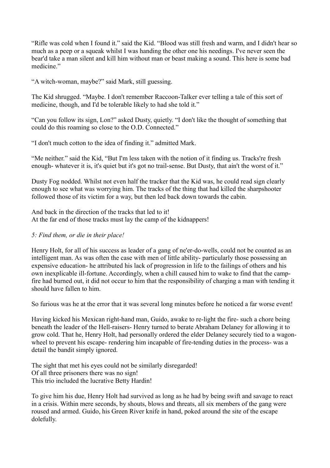"Rifle was cold when I found it." said the Kid. "Blood was still fresh and warm, and I didn't hear so much as a peep or a squeak whilst I was handing the other one his needings. I've never seen the bear'd take a man silent and kill him without man or beast making a sound. This here is some bad medicine."

"A witch-woman, maybe?" said Mark, still guessing.

The Kid shrugged. "Maybe. I don't remember Raccoon-Talker ever telling a tale of this sort of medicine, though, and I'd be tolerable likely to had she told it."

"Can you follow its sign, Lon?" asked Dusty, quietly. "I don't like the thought of something that could do this roaming so close to the O.D. Connected."

"I don't much cotton to the idea of finding it." admitted Mark.

"Me neither." said the Kid, "But I'm less taken with the notion of it finding us. Tracks're fresh enough- whatever it is, it's quiet but it's got no trail-sense. But Dusty, that ain't the worst of it."

Dusty Fog nodded. Whilst not even half the tracker that the Kid was, he could read sign clearly enough to see what was worrying him. The tracks of the thing that had killed the sharpshooter followed those of its victim for a way, but then led back down towards the cabin.

And back in the direction of the tracks that led to it! At the far end of those tracks must lay the camp of the kidnappers!

## *5: Find them, or die in their place!*

Henry Holt, for all of his success as leader of a gang of ne'er-do-wells, could not be counted as an intelligent man. As was often the case with men of little ability- particularly those possessing an expensive education- he attributed his lack of progression in life to the failings of others and his own inexplicable ill-fortune. Accordingly, when a chill caused him to wake to find that the campfire had burned out, it did not occur to him that the responsibility of charging a man with tending it should have fallen to him.

So furious was he at the error that it was several long minutes before he noticed a far worse event!

Having kicked his Mexican right-hand man, Guido, awake to re-light the fire- such a chore being beneath the leader of the Hell-raisers- Henry turned to berate Abraham Delaney for allowing it to grow cold. That he, Henry Holt, had personally ordered the elder Delaney securely tied to a wagonwheel to prevent his escape- rendering him incapable of fire-tending duties in the process- was a detail the bandit simply ignored.

The sight that met his eyes could not be similarly disregarded! Of all three prisoners there was no sign! This trio included the lucrative Betty Hardin!

To give him his due, Henry Holt had survived as long as he had by being swift and savage to react in a crisis. Within mere seconds, by shouts, blows and threats, all six members of the gang were roused and armed. Guido, his Green River knife in hand, poked around the site of the escape dolefully.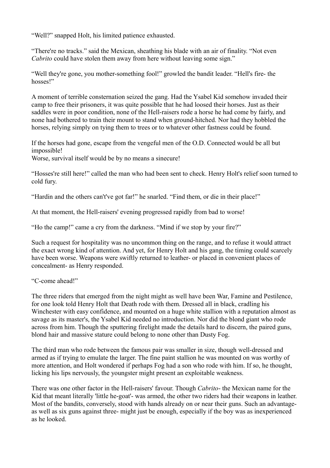"Well?" snapped Holt, his limited patience exhausted.

"There're no tracks." said the Mexican, sheathing his blade with an air of finality. "Not even *Cabrito* could have stolen them away from here without leaving some sign."

"Well they're gone, you mother-something fool!" growled the bandit leader. "Hell's fire- the hosses!"

A moment of terrible consternation seized the gang. Had the Ysabel Kid somehow invaded their camp to free their prisoners, it was quite possible that he had loosed their horses. Just as their saddles were in poor condition, none of the Hell-raisers rode a horse he had come by fairly, and none had bothered to train their mount to stand when ground-hitched. Nor had they hobbled the horses, relying simply on tying them to trees or to whatever other fastness could be found.

If the horses had gone, escape from the vengeful men of the O.D. Connected would be all but impossible!

Worse, survival itself would be by no means a sinecure!

"Hosses're still here!" called the man who had been sent to check. Henry Holt's relief soon turned to cold fury.

"Hardin and the others can't've got far!" he snarled. "Find them, or die in their place!"

At that moment, the Hell-raisers' evening progressed rapidly from bad to worse!

"Ho the camp!" came a cry from the darkness. "Mind if we stop by your fire?"

Such a request for hospitality was no uncommon thing on the range, and to refuse it would attract the exact wrong kind of attention. And yet, for Henry Holt and his gang, the timing could scarcely have been worse. Weapons were swiftly returned to leather- or placed in convenient places of concealment- as Henry responded.

#### "C-come ahead!"

The three riders that emerged from the night might as well have been War, Famine and Pestilence, for one look told Henry Holt that Death rode with them. Dressed all in black, cradling his Winchester with easy confidence, and mounted on a huge white stallion with a reputation almost as savage as its master's, the Ysabel Kid needed no introduction. Nor did the blond giant who rode across from him. Though the sputtering firelight made the details hard to discern, the paired guns, blond hair and massive stature could belong to none other than Dusty Fog.

The third man who rode between the famous pair was smaller in size, though well-dressed and armed as if trying to emulate the larger. The fine paint stallion he was mounted on was worthy of more attention, and Holt wondered if perhaps Fog had a son who rode with him. If so, he thought, licking his lips nervously, the youngster might present an exploitable weakness.

There was one other factor in the Hell-raisers' favour. Though *Cabrito*- the Mexican name for the Kid that meant literally 'little he-goat'- was armed, the other two riders had their weapons in leather. Most of the bandits, conversely, stood with hands already on or near their guns. Such an advantageas well as six guns against three- might just be enough, especially if the boy was as inexperienced as he looked.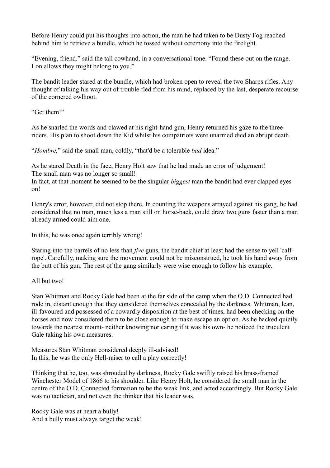Before Henry could put his thoughts into action, the man he had taken to be Dusty Fog reached behind him to retrieve a bundle, which he tossed without ceremony into the firelight.

"Evening, friend." said the tall cowhand, in a conversational tone. "Found these out on the range. Lon allows they might belong to you."

The bandit leader stared at the bundle, which had broken open to reveal the two Sharps rifles. Any thought of talking his way out of trouble fled from his mind, replaced by the last, desperate recourse of the cornered owlhoot.

"Get them!"

As he snarled the words and clawed at his right-hand gun, Henry returned his gaze to the three riders. His plan to shoot down the Kid whilst his compatriots were unarmed died an abrupt death.

"*Hombre,*" said the small man, coldly, "that'd be a tolerable *bad* idea."

As he stared Death in the face, Henry Holt saw that he had made an error of judgement! The small man was no longer so small!

In fact, at that moment he seemed to be the singular *biggest* man the bandit had ever clapped eyes on!

Henry's error, however, did not stop there. In counting the weapons arrayed against his gang, he had considered that no man, much less a man still on horse-back, could draw two guns faster than a man already armed could aim one.

In this, he was once again terribly wrong!

Staring into the barrels of no less than *five* guns, the bandit chief at least had the sense to yell 'calfrope'. Carefully, making sure the movement could not be misconstrued, he took his hand away from the butt of his gun. The rest of the gang similarly were wise enough to follow his example.

All but two!

Stan Whitman and Rocky Gale had been at the far side of the camp when the O.D. Connected had rode in, distant enough that they considered themselves concealed by the darkness. Whitman, lean, ill-favoured and possessed of a cowardly disposition at the best of times, had been checking on the horses and now considered them to be close enough to make escape an option. As he backed quietly towards the nearest mount- neither knowing nor caring if it was his own- he noticed the truculent Gale taking his own measures.

Measures Stan Whitman considered deeply ill-advised! In this, he was the only Hell-raiser to call a play correctly!

Thinking that he, too, was shrouded by darkness, Rocky Gale swiftly raised his brass-framed Winchester Model of 1866 to his shoulder. Like Henry Holt, he considered the small man in the centre of the O.D. Connected formation to be the weak link, and acted accordingly. But Rocky Gale was no tactician, and not even the thinker that his leader was.

Rocky Gale was at heart a bully! And a bully must always target the weak!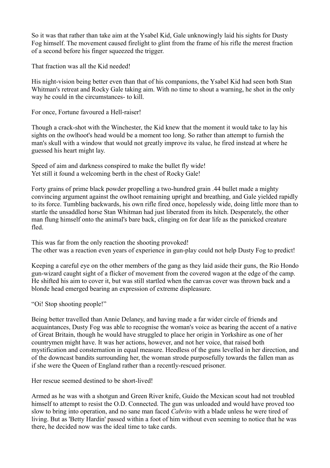So it was that rather than take aim at the Ysabel Kid, Gale unknowingly laid his sights for Dusty Fog himself. The movement caused firelight to glint from the frame of his rifle the merest fraction of a second before his finger squeezed the trigger.

That fraction was all the Kid needed!

His night-vision being better even than that of his companions, the Ysabel Kid had seen both Stan Whitman's retreat and Rocky Gale taking aim. With no time to shout a warning, he shot in the only way he could in the circumstances- to kill.

For once, Fortune favoured a Hell-raiser!

Though a crack-shot with the Winchester, the Kid knew that the moment it would take to lay his sights on the owlhoot's head would be a moment too long. So rather than attempt to furnish the man's skull with a window that would not greatly improve its value, he fired instead at where he guessed his heart might lay.

Speed of aim and darkness conspired to make the bullet fly wide! Yet still it found a welcoming berth in the chest of Rocky Gale!

Forty grains of prime black powder propelling a two-hundred grain .44 bullet made a mighty convincing argument against the owlhoot remaining upright and breathing, and Gale yielded rapidly to its force. Tumbling backwards, his own rifle fired once, hopelessly wide, doing little more than to startle the unsaddled horse Stan Whitman had just liberated from its hitch. Desperately, the other man flung himself onto the animal's bare back, clinging on for dear life as the panicked creature fled.

This was far from the only reaction the shooting provoked! The other was a reaction even years of experience in gun-play could not help Dusty Fog to predict!

Keeping a careful eye on the other members of the gang as they laid aside their guns, the Rio Hondo gun-wizard caught sight of a flicker of movement from the covered wagon at the edge of the camp. He shifted his aim to cover it, but was still startled when the canvas cover was thrown back and a blonde head emerged bearing an expression of extreme displeasure.

"Oi! Stop shooting people!"

Being better travelled than Annie Delaney, and having made a far wider circle of friends and acquaintances, Dusty Fog was able to recognise the woman's voice as bearing the accent of a native of Great Britain, though he would have struggled to place her origin in Yorkshire as one of her countrymen might have. It was her actions, however, and not her voice, that raised both mystification and consternation in equal measure. Heedless of the guns levelled in her direction, and of the downcast bandits surrounding her, the woman strode purposefully towards the fallen man as if she were the Queen of England rather than a recently-rescued prisoner.

Her rescue seemed destined to be short-lived!

Armed as he was with a shotgun and Green River knife, Guido the Mexican scout had not troubled himself to attempt to resist the O.D. Connected. The gun was unloaded and would have proved too slow to bring into operation, and no sane man faced *Cabrito* with a blade unless he were tired of living. But as 'Betty Hardin' passed within a foot of him without even seeming to notice that he was there, he decided now was the ideal time to take cards.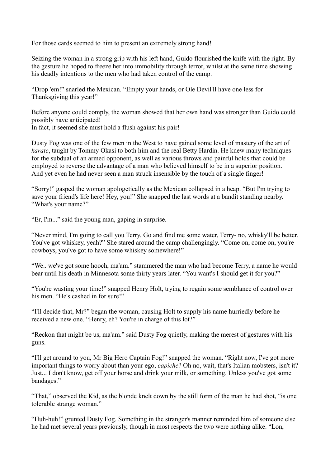For those cards seemed to him to present an extremely strong hand!

Seizing the woman in a strong grip with his left hand, Guido flourished the knife with the right. By the gesture he hoped to freeze her into immobility through terror, whilst at the same time showing his deadly intentions to the men who had taken control of the camp.

"Drop 'em!" snarled the Mexican. "Empty your hands, or Ole Devil'll have one less for Thanksgiving this year!"

Before anyone could comply, the woman showed that her own hand was stronger than Guido could possibly have anticipated! In fact, it seemed she must hold a flush against his pair!

Dusty Fog was one of the few men in the West to have gained some level of mastery of the art of *karate*, taught by Tommy Okasi to both him and the real Betty Hardin. He knew many techniques for the subdual of an armed opponent, as well as various throws and painful holds that could be employed to reverse the advantage of a man who believed himself to be in a superior position.

And yet even he had never seen a man struck insensible by the touch of a single finger!

"Sorry!" gasped the woman apologetically as the Mexican collapsed in a heap. "But I'm trying to save your friend's life here! Hey, you!" She snapped the last words at a bandit standing nearby. "What's your name?"

"Er, I'm..." said the young man, gaping in surprise.

"Never mind, I'm going to call you Terry. Go and find me some water, Terry- no, whisky'll be better. You've got whiskey, yeah?" She stared around the camp challengingly. "Come on, come on, you're cowboys, you've got to have some whiskey somewhere!"

"We.. we've got some hooch, ma'am." stammered the man who had become Terry, a name he would bear until his death in Minnesota some thirty years later. "You want's I should get it for you?"

"You're wasting your time!" snapped Henry Holt, trying to regain some semblance of control over his men. "He's cashed in for sure!"

"I'll decide that, Mr?" began the woman, causing Holt to supply his name hurriedly before he received a new one. "Henry, eh? You're in charge of this lot?"

"Reckon that might be us, ma'am." said Dusty Fog quietly, making the merest of gestures with his guns.

"I'll get around to you, Mr Big Hero Captain Fog!" snapped the woman. "Right now, I've got more important things to worry about than your ego, *capiche*? Oh no, wait, that's Italian mobsters, isn't it? Just... I don't know, get off your horse and drink your milk, or something. Unless you've got some bandages."

"That," observed the Kid, as the blonde knelt down by the still form of the man he had shot, "is one tolerable strange woman."

"Huh-huh!" grunted Dusty Fog. Something in the stranger's manner reminded him of someone else he had met several years previously, though in most respects the two were nothing alike. "Lon,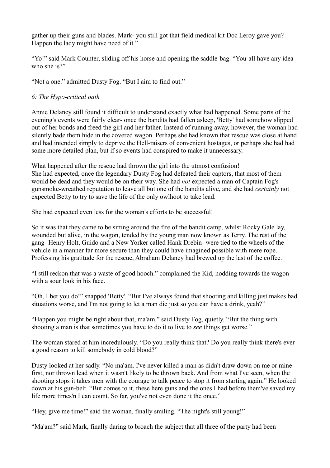gather up their guns and blades. Mark- you still got that field medical kit Doc Leroy gave you? Happen the lady might have need of it."

"Yo!" said Mark Counter, sliding off his horse and opening the saddle-bag. "You-all have any idea who she is?"

"Not a one." admitted Dusty Fog. "But I aim to find out."

# *6: The Hypo-critical oath*

Annie Delaney still found it difficult to understand exactly what had happened. Some parts of the evening's events were fairly clear- once the bandits had fallen asleep, 'Betty' had somehow slipped out of her bonds and freed the girl and her father. Instead of running away, however, the woman had silently bade them hide in the covered wagon. Perhaps she had known that rescue was close at hand and had intended simply to deprive the Hell-raisers of convenient hostages, or perhaps she had had some more detailed plan, but if so events had conspired to make it unnecessary.

What happened after the rescue had thrown the girl into the utmost confusion! She had expected, once the legendary Dusty Fog had defeated their captors, that most of them would be dead and they would be on their way. She had *not* expected a man of Captain Fog's gunsmoke-wreathed reputation to leave all but one of the bandits alive, and she had *certainly* not expected Betty to try to save the life of the only owlhoot to take lead.

She had expected even less for the woman's efforts to be successful!

So it was that they came to be sitting around the fire of the bandit camp, whilst Rocky Gale lay, wounded but alive, in the wagon, tended by the young man now known as Terry. The rest of the gang- Henry Holt, Guido and a New Yorker called Hank Drebin- were tied to the wheels of the vehicle in a manner far more secure than they could have imagined possible with mere rope. Professing his gratitude for the rescue, Abraham Delaney had brewed up the last of the coffee.

"I still reckon that was a waste of good hooch." complained the Kid, nodding towards the wagon with a sour look in his face.

"Oh, I bet you do!" snapped 'Betty'. "But I've always found that shooting and killing just makes bad situations worse, and I'm not going to let a man die just so you can have a drink, yeah?"

"Happen you might be right about that, ma'am." said Dusty Fog, quietly. "But the thing with shooting a man is that sometimes you have to do it to live to *see* things get worse."

The woman stared at him incredulously. "Do you really think that? Do you really think there's ever a good reason to kill somebody in cold blood?"

Dusty looked at her sadly. "No ma'am. I've never killed a man as didn't draw down on me or mine first, nor thrown lead when it wasn't likely to be thrown back. And from what I've seen, when the shooting stops it takes men with the courage to talk peace to stop it from starting again." He looked down at his gun-belt. "But comes to it, these here guns and the ones I had before them've saved my life more times'n I can count. So far, you've not even done it the once."

"Hey, give me time!" said the woman, finally smiling. "The night's still young!"

"Ma'am?" said Mark, finally daring to broach the subject that all three of the party had been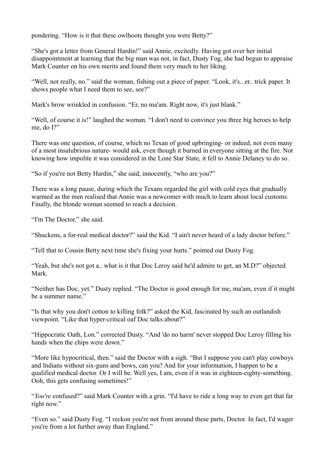pondering. "How is it that these owlhoots thought you were Betty?"

"She's got a letter from General Hardin!" said Annie, excitedly. Having got over her initial disappointment at learning that the big man was not, in fact, Dusty Fog, she had begun to appraise Mark Counter on his own merits and found them very much to her liking.

"Well, not really, no." said the woman, fishing out a piece of paper. "Look, it's.. er.. trick paper. It shows people what I need them to see, see?"

Mark's brow wrinkled in confusion. "Er, no ma'am. Right now, it's just blank."

"Well, of course it is!" laughed the woman. "I don't need to convince you three big heroes to help me, do I?"

There was one question, of course, which no Texan of good upbringing- or indeed, not even many of a most insalubrious nature- would ask, even though it burned in everyone sitting at the fire. Not knowing how impolite it was considered in the Lone Star State, it fell to Annie Delaney to do so.

"So if you're not Betty Hardin," she said, innocently, "who are you?"

There was a long pause, during which the Texans regarded the girl with cold eyes that gradually warmed as the men realised that Annie was a newcomer with much to learn about local customs. Finally, the blonde woman seemed to reach a decision.

"I'm The Doctor." she said.

"Shuckens, a for-real medical doctor?" said the Kid. "I ain't never heard of a lady doctor before."

"Tell that to Cousin Betty next time she's fixing your hurts." pointed out Dusty Fog.

"Yeah, but she's not got a.. what is it that Doc Leroy said he'd admire to get, an M.D?" objected Mark.

"Neither has Doc, yet." Dusty replied. "The Doctor is good enough for me, ma'am, even if it might be a summer name."

"Is that why you don't cotton to killing folk?" asked the Kid, fascinated by such an outlandish viewpoint. "Like that hyper-critical oaf Doc talks about?"

"Hippocratic Oath, Lon." corrected Dusty. "And 'do no harm' never stopped Doc Leroy filling his hands when the chips were down."

"More like hypocritical, then." said the Doctor with a sigh. "But I suppose you can't play cowboys and Indians without six-guns and bows, can you? And for your information, I happen to be a qualified medical doctor. Or I will be. Well yes, I am, even if it was in eighteen-eighty-something. Ooh, this gets confusing sometimes!"

"*You're* confused?" said Mark Counter with a grin. "I'd have to ride a long way to even get that far right now."

"Even so." said Dusty Fog. "I reckon you're not from around these parts, Doctor. In fact, I'd wager you're from a lot further away than England."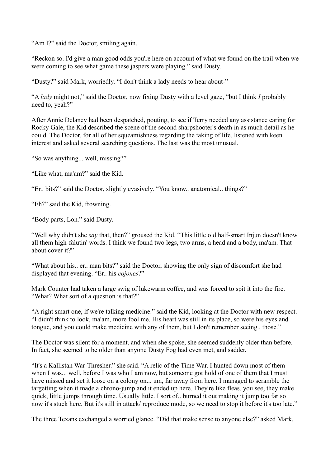"Am I?" said the Doctor, smiling again.

"Reckon so. I'd give a man good odds you're here on account of what we found on the trail when we were coming to see what game these jaspers were playing." said Dusty.

"Dusty?" said Mark, worriedly. "I don't think a lady needs to hear about-"

"A *lady* might not," said the Doctor, now fixing Dusty with a level gaze, "but I think *I* probably need to, yeah?"

After Annie Delaney had been despatched, pouting, to see if Terry needed any assistance caring for Rocky Gale, the Kid described the scene of the second sharpshooter's death in as much detail as he could. The Doctor, for all of her squeamishness regarding the taking of life, listened with keen interest and asked several searching questions. The last was the most unusual.

"So was anything... well, missing?"

"Like what, ma'am?" said the Kid.

"Er.. bits?" said the Doctor, slightly evasively. "You know.. anatomical.. things?"

"Eh?" said the Kid, frowning.

"Body parts, Lon." said Dusty.

"Well why didn't she *say* that, then?" groused the Kid. "This little old half-smart Injun doesn't know all them high-falutin' words. I think we found two legs, two arms, a head and a body, ma'am. That about cover it?"

"What about his.. er.. man bits?" said the Doctor, showing the only sign of discomfort she had displayed that evening. "Er.. his *cojones*?"

Mark Counter had taken a large swig of lukewarm coffee, and was forced to spit it into the fire. "What? What sort of a question is that?"

"A right smart one, if we're talking medicine." said the Kid, looking at the Doctor with new respect. "I didn't think to look, ma'am, more fool me. His heart was still in its place, so were his eyes and tongue, and you could make medicine with any of them, but I don't remember seeing.. those."

The Doctor was silent for a moment, and when she spoke, she seemed suddenly older than before. In fact, she seemed to be older than anyone Dusty Fog had even met, and sadder.

"It's a Kallistan War-Thresher." she said. "A relic of the Time War. I hunted down most of them when I was... well, before I was who I am now, but someone got hold of one of them that I must have missed and set it loose on a colony on... um, far away from here. I managed to scramble the targetting when it made a chrono-jump and it ended up here. They're like fleas, you see, they make quick, little jumps through time. Usually little. I sort of.. burned it out making it jump too far so now it's stuck here. But it's still in attack/ reproduce mode, so we need to stop it before it's too late."

The three Texans exchanged a worried glance. "Did that make sense to anyone else?" asked Mark.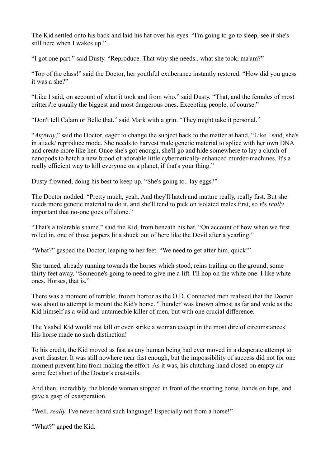The Kid settled onto his back and laid his hat over his eyes. "I'm going to go to sleep, see if she's still here when I wakes up."

"I got one part." said Dusty. "Reproduce. That why she needs.. what she took, ma'am?"

"Top of the class!" said the Doctor, her youthful exuberance instantly restored. "How did you guess it was a she?"

"Like I said, on account of what it took and from who." said Dusty. "That, and the females of most critters're usually the biggest and most dangerous ones. Excepting people, of course."

"Don't tell Calam or Belle that." said Mark with a grin. "They might take it personal."

"*Anyway*," said the Doctor, eager to change the subject back to the matter at hand, "Like I said, she's in attack/ reproduce mode. She needs to harvest male genetic material to splice with her own DNA and create more like her. Once she's got enough, she'll go and hide somewhere to lay a clutch of nanopods to hatch a new brood of adorable little cybernetically-enhanced murder-machines. It's a really efficient way to kill everyone on a planet, if that's your thing."

Dusty frowned, doing his best to keep up. "She's going to.. lay eggs?"

The Doctor nodded. "Pretty much, yeah. And they'll hatch and mature really, really fast. But she needs more genetic material to do it, and she'll tend to pick on isolated males first, so it's *really* important that no-one goes off alone."

"That's a tolerable shame." said the Kid, from beneath his hat. "On account of how when we first rolled in, one of those jaspers lit a shuck out of here like the Devil after a yearling."

"What?" gasped the Doctor, leaping to her feet. "We need to get after him, quick!"

She turned, already running towards the horses which stood, reins trailing on the ground, some thirty feet away. "Someone's going to need to give me a lift. I'll hop on the white one. I like white ones. Horses, that is."

There was a moment of terrible, frozen horror as the O.D. Connected men realised that the Doctor was about to attempt to mount the Kid's horse. 'Thunder' was known almost as far and wide as the Kid himself as a wild and untameable killer of men, but with one crucial difference.

The Ysabel Kid would not kill or even strike a woman except in the most dire of circumstances! His horse made no such distinction!

To his credit, the Kid moved as fast as any human being had ever moved in a desperate attempt to avert disaster. It was still nowhere near fast enough, but the impossibility of success did not for one moment prevent him from making the effort. As it was, his clutching hand closed on empty air some feet short of the Doctor's coat-tails.

And then, incredibly, the blonde woman stopped in front of the snorting horse, hands on hips, and gave a gasp of exasperation.

"Well, *really*. I've never heard such language! Especially not from a horse!"

"What?" gaped the Kid.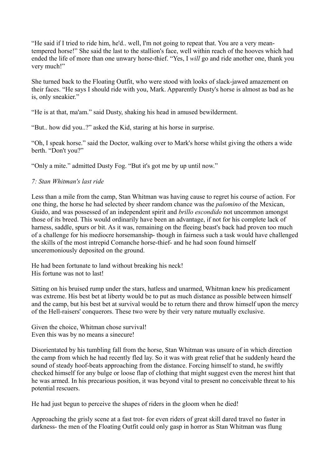"He said if I tried to ride him, he'd.. well, I'm not going to repeat that. You are a very meantempered horse!" She said the last to the stallion's face, well within reach of the hooves which had ended the life of more than one unwary horse-thief. "Yes, I *will* go and ride another one, thank you very much!"

She turned back to the Floating Outfit, who were stood with looks of slack-jawed amazement on their faces. "He says I should ride with you, Mark. Apparently Dusty's horse is almost as bad as he is, only sneakier."

"He is at that, ma'am." said Dusty, shaking his head in amused bewilderment.

"But.. how did you..?" asked the Kid, staring at his horse in surprise.

"Oh, I speak horse." said the Doctor, walking over to Mark's horse whilst giving the others a wide berth. "Don't you?"

"Only a mite." admitted Dusty Fog. "But it's got me by up until now."

## *7: Stan Whitman's last ride*

Less than a mile from the camp, Stan Whitman was having cause to regret his course of action. For one thing, the horse he had selected by sheer random chance was the *palomino* of the Mexican, Guido, and was possessed of an independent spirit and *brillo escondido* not uncommon amongst those of its breed. This would ordinarily have been an advantage, if not for his complete lack of harness, saddle, spurs or bit. As it was, remaining on the fleeing beast's back had proven too much of a challenge for his mediocre horsemanship- though in fairness such a task would have challenged the skills of the most intrepid Comanche horse-thief- and he had soon found himself unceremoniously deposited on the ground.

He had been fortunate to land without breaking his neck! His fortune was not to last!

Sitting on his bruised rump under the stars, hatless and unarmed, Whitman knew his predicament was extreme. His best bet at liberty would be to put as much distance as possible between himself and the camp, but his best bet at survival would be to return there and throw himself upon the mercy of the Hell-raisers' conquerors. These two were by their very nature mutually exclusive.

Given the choice, Whitman chose survival! Even this was by no means a sinecure!

Disorientated by his tumbling fall from the horse, Stan Whitman was unsure of in which direction the camp from which he had recently fled lay. So it was with great relief that he suddenly heard the sound of steady hoof-beats approaching from the distance. Forcing himself to stand, he swiftly checked himself for any bulge or loose flap of clothing that might suggest even the merest hint that he was armed. In his precarious position, it was beyond vital to present no conceivable threat to his potential rescuers.

He had just begun to perceive the shapes of riders in the gloom when he died!

Approaching the grisly scene at a fast trot- for even riders of great skill dared travel no faster in darkness- the men of the Floating Outfit could only gasp in horror as Stan Whitman was flung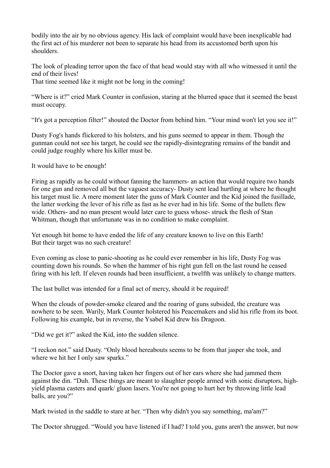bodily into the air by no obvious agency. His lack of complaint would have been inexplicable had the first act of his murderer not been to separate his head from its accustomed berth upon his shoulders.

The look of pleading terror upon the face of that head would stay with all who witnessed it until the end of their lives!

That time seemed like it might not be long in the coming!

"Where is it?" cried Mark Counter in confusion, staring at the blurred space that it seemed the beast must occupy.

"It's got a perception filter!" shouted the Doctor from behind him. "Your mind won't let you see it!"

Dusty Fog's hands flickered to his holsters, and his guns seemed to appear in them. Though the gunman could not see his target, he could see the rapidly-disintegrating remains of the bandit and could judge roughly where his killer must be.

It would have to be enough!

Firing as rapidly as he could without fanning the hammers- an action that would require two hands for one gun and removed all but the vaguest accuracy- Dusty sent lead hurtling at where he thought his target must lie. A mere moment later the guns of Mark Counter and the Kid joined the fusillade, the latter working the lever of his rifle as fast as he ever had in his life. Some of the bullets flew wide. Others- and no man present would later care to guess whose- struck the flesh of Stan Whitman, though that unfortunate was in no condition to make complaint.

Yet enough hit home to have ended the life of any creature known to live on this Earth! But their target was no such creature!

Even coming as close to panic-shooting as he could ever remember in his life, Dusty Fog was counting down his rounds. So when the hammer of his right gun fell on the last round he ceased firing with his left. If eleven rounds had been insufficient, a twelfth was unlikely to change matters.

The last bullet was intended for a final act of mercy, should it be required!

When the clouds of powder-smoke cleared and the roaring of guns subsided, the creature was nowhere to be seen. Warily, Mark Counter holstered his Peacemakers and slid his rifle from its boot. Following his example, but in reverse, the Ysabel Kid drew his Dragoon.

"Did we get it?" asked the Kid, into the sudden silence.

"I reckon not." said Dusty. "Only blood hereabouts seems to be from that jasper she took, and where we hit her I only saw sparks."

The Doctor gave a snort, having taken her fingers out of her ears where she had jammed them against the din. "Duh. These things are meant to slaughter people armed with sonic disruptors, highyield plasma casters and quark/ gluon lasers. You're not going to hurt her by throwing little lead balls, are you?"

Mark twisted in the saddle to stare at her. "Then why didn't you say something, ma'am?"

The Doctor shrugged. "Would you have listened if I had? I told you, guns aren't the answer, but now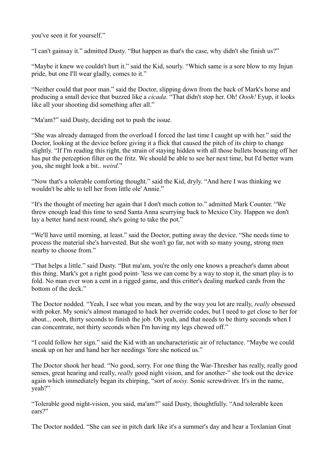you've seen it for yourself."

"I can't gainsay it." admitted Dusty. "But happen as that's the case, why didn't she finish us?"

"Maybe it knew we couldn't hurt it." said the Kid, sourly. "Which same is a sore blow to my Injun pride, but one I'll wear gladly, comes to it."

"Neither could that poor man." said the Doctor, slipping down from the back of Mark's horse and producing a small device that buzzed like a *cicada*. "That didn't stop her. Oh! *Oooh!* Eyup, it looks like all your shooting did something after all."

"Ma'am?" said Dusty, deciding not to push the issue.

"She was already damaged from the overload I forced the last time I caught up with her." said the Doctor, looking at the device before giving it a flick that caused the pitch of its chirp to change slightly. "If I'm reading this right, the strain of staying hidden with all those bullets bouncing off her has put the perception filter on the fritz. We should be able to see her next time, but I'd better warn you, she might look a bit.. *weird*."

"Now that's a tolerable comforting thought." said the Kid, dryly. "And here I was thinking we wouldn't be able to tell her from little ole' Annie."

"It's the thought of meeting her again that I don't much cotton to." admitted Mark Counter. "We threw enough lead this time to send Santa Anna scurrying back to Mexico City. Happen we don't lay a better hand next round, she's going to take the pot."

"We'll have until morning, at least." said the Doctor, putting away the device. "She needs time to process the material she's harvested. But she won't go far, not with so many young, strong men nearby to choose from."

"That helps a little." said Dusty. "But ma'am, you're the only one knows a preacher's damn about this thing. Mark's got a right good point- 'less we can come by a way to stop it, the smart play is to fold. No man ever won a cent in a rigged game, and this critter's dealing marked cards from the bottom of the deck."

The Doctor nodded. "Yeah, I see what you mean, and by the way you lot are really, *really* obsessed with poker. My sonic's almost managed to hack her override codes, but I need to get close to her for about... oooh, thirty seconds to finish the job. Oh yeah, and that needs to be thirty seconds when I can concentrate, not thirty seconds when I'm having my legs chewed off."

"I could follow her sign." said the Kid with an uncharacteristic air of reluctance. "Maybe we could sneak up on her and hand her her needings 'fore she noticed us."

The Doctor shook her head. "No good, sorry. For one thing the War-Thresher has really, really good senses, great hearing and really, *really* good night vision, and for another-" she took out the device again which immediately began its chirping, "sort of *noisy*. Sonic screwdriver. It's in the name, yeah?"

"Tolerable good night-vision, you said, ma'am?" said Dusty, thoughtfully. "And tolerable keen ears?"

The Doctor nodded. "She can see in pitch dark like it's a summer's day and hear a Toxlanian Gnat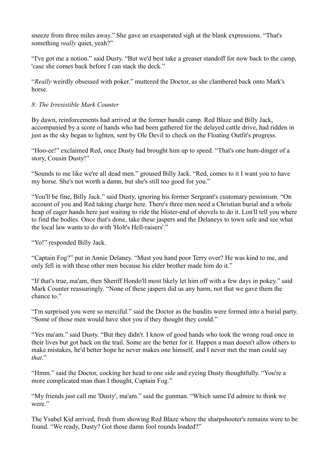sneeze from three miles away." She gave an exasperated sigh at the blank expressions. "That's something *really* quiet, yeah?"

"I've got me a notion." said Dusty. "But we'd best take a greaser standoff for now back to the camp, 'case she comes back before I can stack the deck."

"*Really* weirdly obsessed with poker." muttered the Doctor, as she clambered back onto Mark's horse.

# *8: The Irresistible Mark Counter*

By dawn, reinforcements had arrived at the former bandit camp. Red Blaze and Billy Jack, accompanied by a score of hands who had been gathered for the delayed cattle drive, had ridden in just as the sky began to lighten, sent by Ole Devil to check on the Floating Outfit's progress.

"Hoo-ee!" exclaimed Red, once Dusty had brought him up to speed. "That's one hum-dinger of a story, Cousin Dusty!"

"Sounds to me like we're all dead men." groused Billy Jack. "Red, comes to it I want you to have my horse. She's not worth a damn, but she's still too good for you."

"You'll be fine, Billy Jack." said Dusty, ignoring his former Sergeant's customary pessimism. "On account of you and Red taking charge here. There's three men need a Christian burial and a whole heap of eager hands here just waiting to ride the blister-end of shovels to do it. Lon'll tell you where to find the bodies. Once that's done, take these jaspers and the Delaneys to town safe and see what the local law wants to do with 'Holt's Hell-raisers'."

"Yo!" responded Billy Jack.

"Captain Fog?" put in Annie Delaney. "Must you hand poor Terry over? He was kind to me, and only fell in with these other men because his elder brother made him do it."

"If that's true, ma'am, then Sheriff Hondo'll most likely let him off with a few days in pokey." said Mark Counter reassuringly. "None of these jaspers did us any harm, not that we gave them the chance to."

"I'm surprised you were so merciful." said the Doctor as the bandits were formed into a burial party. "Some of those men would have shot you if they thought they could."

"Yes ma'am." said Dusty. "But they didn't. I know of good hands who took the wrong road once in their lives but got back on the trail. Some are the better for it. Happen a man doesn't allow others to make mistakes, he'd better hope he never makes one himself, and I never met the man could say *that*."

"Hmm." said the Doctor, cocking her head to one side and eyeing Dusty thoughtfully. "You're a more complicated man than I thought, Captain Fog."

"My friends just call me 'Dusty', ma'am." said the gunman. "Which same I'd admire to think we were."

The Ysabel Kid arrived, fresh from showing Red Blaze where the sharpshooter's remains were to be found. "We ready, Dusty? Got those damn fool rounds loaded?"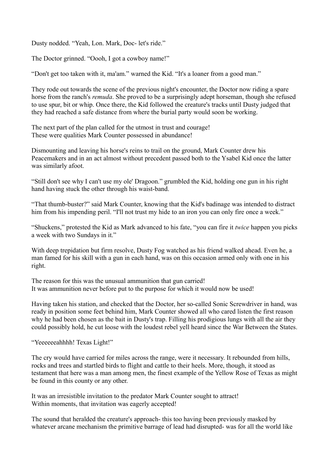Dusty nodded. "Yeah, Lon. Mark, Doc- let's ride."

The Doctor grinned. "Oooh, I got a cowboy name!"

"Don't get too taken with it, ma'am." warned the Kid. "It's a loaner from a good man."

They rode out towards the scene of the previous night's encounter, the Doctor now riding a spare horse from the ranch's *remuda*. She proved to be a surprisingly adept horseman, though she refused to use spur, bit or whip. Once there, the Kid followed the creature's tracks until Dusty judged that they had reached a safe distance from where the burial party would soon be working.

The next part of the plan called for the utmost in trust and courage! These were qualities Mark Counter possessed in abundance!

Dismounting and leaving his horse's reins to trail on the ground, Mark Counter drew his Peacemakers and in an act almost without precedent passed both to the Ysabel Kid once the latter was similarly afoot.

"Still don't see why I can't use my ole' Dragoon." grumbled the Kid, holding one gun in his right hand having stuck the other through his waist-band.

"That thumb-buster?" said Mark Counter, knowing that the Kid's badinage was intended to distract him from his impending peril. "I'll not trust my hide to an iron you can only fire once a week."

"Shuckens," protested the Kid as Mark advanced to his fate, "you can fire it *twice* happen you picks a week with two Sundays in it."

With deep trepidation but firm resolve, Dusty Fog watched as his friend walked ahead. Even he, a man famed for his skill with a gun in each hand, was on this occasion armed only with one in his right.

The reason for this was the unusual ammunition that gun carried! It was ammunition never before put to the purpose for which it would now be used!

Having taken his station, and checked that the Doctor, her so-called Sonic Screwdriver in hand, was ready in position some feet behind him, Mark Counter showed all who cared listen the first reason why he had been chosen as the bait in Dusty's trap. Filling his prodigious lungs with all the air they could possibly hold, he cut loose with the loudest rebel yell heard since the War Between the States.

"Yeeeeeeahhhh! Texas Light!"

The cry would have carried for miles across the range, were it necessary. It rebounded from hills, rocks and trees and startled birds to flight and cattle to their heels. More, though, it stood as testament that here was a man among men, the finest example of the Yellow Rose of Texas as might be found in this county or any other.

It was an irresistible invitation to the predator Mark Counter sought to attract! Within moments, that invitation was eagerly accepted!

The sound that heralded the creature's approach- this too having been previously masked by whatever arcane mechanism the primitive barrage of lead had disrupted- was for all the world like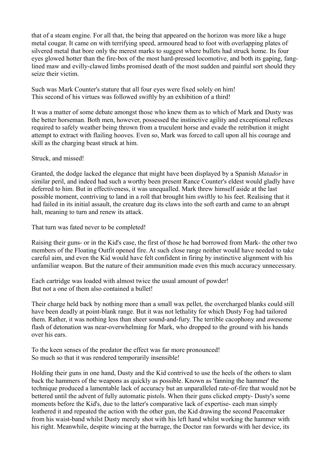that of a steam engine. For all that, the being that appeared on the horizon was more like a huge metal cougar. It came on with terrifying speed, armoured head to foot with overlapping plates of silvered metal that bore only the merest marks to suggest where bullets had struck home. Its four eyes glowed hotter than the fire-box of the most hard-pressed locomotive, and both its gaping, fanglined maw and evilly-clawed limbs promised death of the most sudden and painful sort should they seize their victim.

Such was Mark Counter's stature that all four eyes were fixed solely on him! This second of his virtues was followed swiftly by an exhibition of a third!

It was a matter of some debate amongst those who knew them as to which of Mark and Dusty was the better horseman. Both men, however, possessed the instinctive agility and exceptional reflexes required to safely weather being thrown from a truculent horse and evade the retribution it might attempt to extract with flailing hooves. Even so, Mark was forced to call upon all his courage and skill as the charging beast struck at him.

## Struck, and missed!

Granted, the dodge lacked the elegance that might have been displayed by a Spanish *Matador* in similar peril, and indeed had such a worthy been present Rance Counter's eldest would gladly have deferred to him. But in effectiveness, it was unequalled. Mark threw himself aside at the last possible moment, contriving to land in a roll that brought him swiftly to his feet. Realising that it had failed in its initial assault, the creature dug its claws into the soft earth and came to an abrupt halt, meaning to turn and renew its attack.

That turn was fated never to be completed!

Raising their guns- or in the Kid's case, the first of those he had borrowed from Mark- the other two members of the Floating Outfit opened fire. At such close range neither would have needed to take careful aim, and even the Kid would have felt confident in firing by instinctive alignment with his unfamiliar weapon. But the nature of their ammunition made even this much accuracy unnecessary.

Each cartridge was loaded with almost twice the usual amount of powder! But not a one of them also contained a bullet!

Their charge held back by nothing more than a small wax pellet, the overcharged blanks could still have been deadly at point-blank range. But it was not lethality for which Dusty Fog had tailored them. Rather, it was nothing less than sheer sound-and-fury. The terrible cacophony and awesome flash of detonation was near-overwhelming for Mark, who dropped to the ground with his hands over his ears.

To the keen senses of the predator the effect was far more pronounced! So much so that it was rendered temporarily insensible!

Holding their guns in one hand, Dusty and the Kid contrived to use the heels of the others to slam back the hammers of the weapons as quickly as possible. Known as 'fanning the hammer' the technique produced a lamentable lack of accuracy but an unparalleled rate-of-fire that would not be bettered until the advent of fully automatic pistols. When their guns clicked empty- Dusty's some moments before the Kid's, due to the latter's comparative lack of expertise- each man simply leathered it and repeated the action with the other gun, the Kid drawing the second Peacemaker from his waist-band whilst Dusty merely shot with his left hand whilst working the hammer with his right. Meanwhile, despite wincing at the barrage, the Doctor ran forwards with her device, its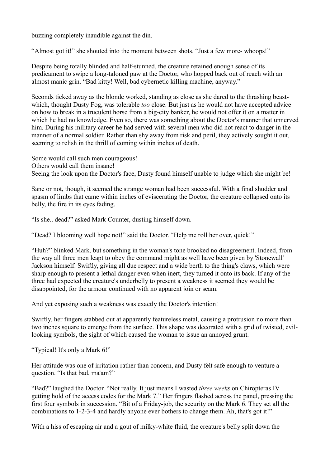buzzing completely inaudible against the din.

"Almost got it!" she shouted into the moment between shots. "Just a few more- whoops!"

Despite being totally blinded and half-stunned, the creature retained enough sense of its predicament to swipe a long-taloned paw at the Doctor, who hopped back out of reach with an almost manic grin. "Bad kitty! Well, bad cybernetic killing machine, anyway."

Seconds ticked away as the blonde worked, standing as close as she dared to the thrashing beastwhich, thought Dusty Fog, was tolerable *too* close. But just as he would not have accepted advice on how to break in a truculent horse from a big-city banker, he would not offer it on a matter in which he had no knowledge. Even so, there was something about the Doctor's manner that unnerved him. During his military career he had served with several men who did not react to danger in the manner of a normal soldier. Rather than shy away from risk and peril, they actively sought it out, seeming to relish in the thrill of coming within inches of death.

Some would call such men courageous! Others would call them insane! Seeing the look upon the Doctor's face, Dusty found himself unable to judge which she might be!

Sane or not, though, it seemed the strange woman had been successful. With a final shudder and spasm of limbs that came within inches of eviscerating the Doctor, the creature collapsed onto its belly, the fire in its eyes fading.

"Is she.. dead?" asked Mark Counter, dusting himself down.

"Dead? I blooming well hope not!" said the Doctor. "Help me roll her over, quick!"

"Huh?" blinked Mark, but something in the woman's tone brooked no disagreement. Indeed, from the way all three men leapt to obey the command might as well have been given by 'Stonewall' Jackson himself. Swiftly, giving all due respect and a wide berth to the thing's claws, which were sharp enough to present a lethal danger even when inert, they turned it onto its back. If any of the three had expected the creature's underbelly to present a weakness it seemed they would be disappointed, for the armour continued with no apparent join or seam.

And yet exposing such a weakness was exactly the Doctor's intention!

Swiftly, her fingers stabbed out at apparently featureless metal, causing a protrusion no more than two inches square to emerge from the surface. This shape was decorated with a grid of twisted, evillooking symbols, the sight of which caused the woman to issue an annoyed grunt.

"Typical! It's only a Mark 6!"

Her attitude was one of irritation rather than concern, and Dusty felt safe enough to venture a question. "Is that bad, ma'am?"

"Bad?" laughed the Doctor. "Not really. It just means I wasted *three weeks* on Chiropteras IV getting hold of the access codes for the Mark 7." Her fingers flashed across the panel, pressing the first four symbols in succession. "Bit of a Friday-job, the security on the Mark 6. They set all the combinations to 1-2-3-4 and hardly anyone ever bothers to change them. Ah, that's got it!"

With a hiss of escaping air and a gout of milky-white fluid, the creature's belly split down the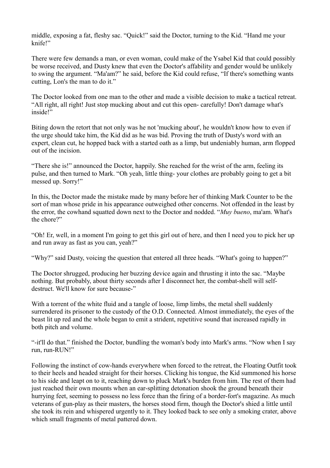middle, exposing a fat, fleshy sac. "Quick!" said the Doctor, turning to the Kid. "Hand me your knife!"

There were few demands a man, or even woman, could make of the Ysabel Kid that could possibly be worse received, and Dusty knew that even the Doctor's affability and gender would be unlikely to swing the argument. "Ma'am?" he said, before the Kid could refuse, "If there's something wants cutting, Lon's the man to do it."

The Doctor looked from one man to the other and made a visible decision to make a tactical retreat. "All right, all right! Just stop mucking about and cut this open- carefully! Don't damage what's inside!"

Biting down the retort that not only was he not 'mucking about', he wouldn't know how to even if the urge should take him, the Kid did as he was bid. Proving the truth of Dusty's word with an expert, clean cut, he hopped back with a started oath as a limp, but undeniably human, arm flopped out of the incision.

"There she is!" announced the Doctor, happily. She reached for the wrist of the arm, feeling its pulse, and then turned to Mark. "Oh yeah, little thing- your clothes are probably going to get a bit messed up. Sorry!"

In this, the Doctor made the mistake made by many before her of thinking Mark Counter to be the sort of man whose pride in his appearance outweighed other concerns. Not offended in the least by the error, the cowhand squatted down next to the Doctor and nodded. "*Muy bueno*, ma'am. What's the chore?"

"Oh! Er, well, in a moment I'm going to get this girl out of here, and then I need you to pick her up and run away as fast as you can, yeah?"

"Why?" said Dusty, voicing the question that entered all three heads. "What's going to happen?"

The Doctor shrugged, producing her buzzing device again and thrusting it into the sac. "Maybe nothing. But probably, about thirty seconds after I disconnect her, the combat-shell will selfdestruct. We'll know for sure because-"

With a torrent of the white fluid and a tangle of loose, limp limbs, the metal shell suddenly surrendered its prisoner to the custody of the O.D. Connected. Almost immediately, the eyes of the beast lit up red and the whole began to emit a strident, repetitive sound that increased rapidly in both pitch and volume.

"-it'll do that." finished the Doctor, bundling the woman's body into Mark's arms. "Now when I say run, run-RUN!"

Following the instinct of cow-hands everywhere when forced to the retreat, the Floating Outfit took to their heels and headed straight for their horses. Clicking his tongue, the Kid summoned his horse to his side and leapt on to it, reaching down to pluck Mark's burden from him. The rest of them had just reached their own mounts when an ear-splitting detonation shook the ground beneath their hurrying feet, seeming to possess no less force than the firing of a border-fort's magazine. As much veterans of gun-play as their masters, the horses stood firm, though the Doctor's shied a little until she took its rein and whispered urgently to it. They looked back to see only a smoking crater, above which small fragments of metal pattered down.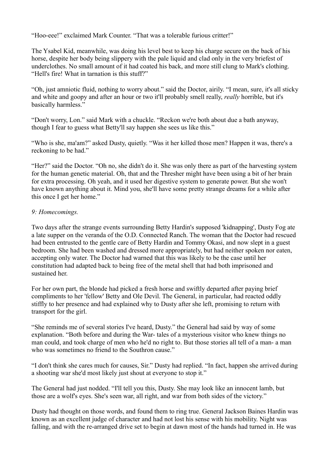"Hoo-eee!" exclaimed Mark Counter. "That was a tolerable furious critter!"

The Ysabel Kid, meanwhile, was doing his level best to keep his charge secure on the back of his horse, despite her body being slippery with the pale liquid and clad only in the very briefest of underclothes. No small amount of it had coated his back, and more still clung to Mark's clothing. "Hell's fire! What in tarnation is this stuff?"

"Oh, just amniotic fluid, nothing to worry about." said the Doctor, airily. "I mean, sure, it's all sticky and white and goopy and after an hour or two it'll probably smell really, *really* horrible, but it's basically harmless."

"Don't worry, Lon." said Mark with a chuckle. "Reckon we're both about due a bath anyway, though I fear to guess what Betty'll say happen she sees us like this."

"Who is she, ma'am?" asked Dusty, quietly. "Was it her killed those men? Happen it was, there's a reckoning to be had."

"Her?" said the Doctor. "Oh no, she didn't do it. She was only there as part of the harvesting system for the human genetic material. Oh, that and the Thresher might have been using a bit of her brain for extra processing. Oh yeah, and it used her digestive system to generate power. But she won't have known anything about it. Mind you, she'll have some pretty strange dreams for a while after this once I get her home."

## *9: Homecomings.*

Two days after the strange events surrounding Betty Hardin's supposed 'kidnapping', Dusty Fog ate a late supper on the veranda of the O.D. Connected Ranch. The woman that the Doctor had rescued had been entrusted to the gentle care of Betty Hardin and Tommy Okasi, and now slept in a guest bedroom. She had been washed and dressed more appropriately, but had neither spoken nor eaten, accepting only water. The Doctor had warned that this was likely to be the case until her constitution had adapted back to being free of the metal shell that had both imprisoned and sustained her.

For her own part, the blonde had picked a fresh horse and swiftly departed after paying brief compliments to her 'fellow' Betty and Ole Devil. The General, in particular, had reacted oddly stiffly to her presence and had explained why to Dusty after she left, promising to return with transport for the girl.

"She reminds me of several stories I've heard, Dusty." the General had said by way of some explanation. "Both before and during the War- tales of a mysterious visitor who knew things no man could, and took charge of men who he'd no right to. But those stories all tell of a man- a man who was sometimes no friend to the Southron cause."

"I don't think she cares much for causes, Sir." Dusty had replied. "In fact, happen she arrived during a shooting war she'd most likely just shout at everyone to stop it."

The General had just nodded. "I'll tell you this, Dusty. She may look like an innocent lamb, but those are a wolf's eyes. She's seen war, all right, and war from both sides of the victory."

Dusty had thought on those words, and found them to ring true. General Jackson Baines Hardin was known as an excellent judge of character and had not lost his sense with his mobility. Night was falling, and with the re-arranged drive set to begin at dawn most of the hands had turned in. He was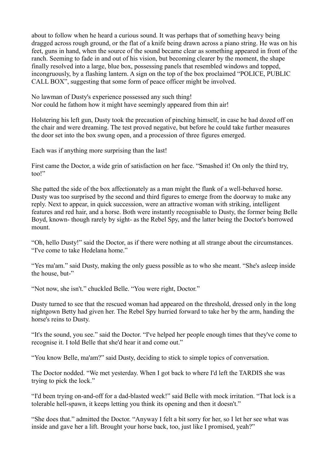about to follow when he heard a curious sound. It was perhaps that of something heavy being dragged across rough ground, or the flat of a knife being drawn across a piano string. He was on his feet, guns in hand, when the source of the sound became clear as something appeared in front of the ranch. Seeming to fade in and out of his vision, but becoming clearer by the moment, the shape finally resolved into a large, blue box, possessing panels that resembled windows and topped, incongruously, by a flashing lantern. A sign on the top of the box proclaimed "POLICE, PUBLIC CALL BOX", suggesting that some form of peace officer might be involved.

No lawman of Dusty's experience possessed any such thing! Nor could he fathom how it might have seemingly appeared from thin air!

Holstering his left gun, Dusty took the precaution of pinching himself, in case he had dozed off on the chair and were dreaming. The test proved negative, but before he could take further measures the door set into the box swung open, and a procession of three figures emerged.

Each was if anything more surprising than the last!

First came the Doctor, a wide grin of satisfaction on her face. "Smashed it! On only the third try, too!"

She patted the side of the box affectionately as a man might the flank of a well-behaved horse. Dusty was too surprised by the second and third figures to emerge from the doorway to make any reply. Next to appear, in quick succession, were an attractive woman with striking, intelligent features and red hair, and a horse. Both were instantly recognisable to Dusty, the former being Belle Boyd, known- though rarely by sight- as the Rebel Spy, and the latter being the Doctor's borrowed mount.

"Oh, hello Dusty!" said the Doctor, as if there were nothing at all strange about the circumstances. "I've come to take Hedelana home."

"Yes ma'am." said Dusty, making the only guess possible as to who she meant. "She's asleep inside the house, but-"

"Not now, she isn't." chuckled Belle. "You were right, Doctor."

Dusty turned to see that the rescued woman had appeared on the threshold, dressed only in the long nightgown Betty had given her. The Rebel Spy hurried forward to take her by the arm, handing the horse's reins to Dusty.

"It's the sound, you see." said the Doctor. "I've helped her people enough times that they've come to recognise it. I told Belle that she'd hear it and come out."

"You know Belle, ma'am?" said Dusty, deciding to stick to simple topics of conversation.

The Doctor nodded. "We met yesterday. When I got back to where I'd left the TARDIS she was trying to pick the lock."

"I'd been trying on-and-off for a dad-blasted week!" said Belle with mock irritation. "That lock is a tolerable hell-spawn, it keeps letting you think its opening and then it doesn't."

"She does that." admitted the Doctor. "Anyway I felt a bit sorry for her, so I let her see what was inside and gave her a lift. Brought your horse back, too, just like I promised, yeah?"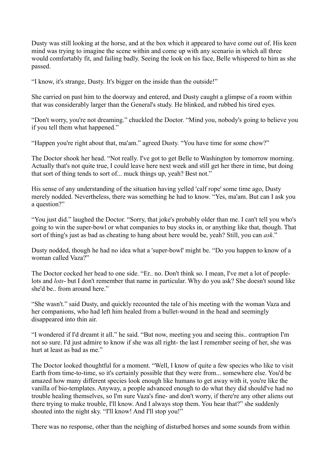Dusty was still looking at the horse, and at the box which it appeared to have come out of. His keen mind was trying to imagine the scene within and come up with any scenario in which all three would comfortably fit, and failing badly. Seeing the look on his face, Belle whispered to him as she passed.

"I know, it's strange, Dusty. It's bigger on the inside than the outside!"

She carried on past him to the doorway and entered, and Dusty caught a glimpse of a room within that was considerably larger than the General's study. He blinked, and rubbed his tired eyes.

"Don't worry, you're not dreaming." chuckled the Doctor. "Mind you, nobody's going to believe you if you tell them what happened."

"Happen you're right about that, ma'am." agreed Dusty. "You have time for some chow?"

The Doctor shook her head. "Not really. I've got to get Belle to Washington by tomorrow morning. Actually that's not quite true, I could leave here next week and still get her there in time, but doing that sort of thing tends to sort of... muck things up, yeah? Best not."

His sense of any understanding of the situation having yelled 'calf rope' some time ago, Dusty merely nodded. Nevertheless, there was something he had to know. "Yes, ma'am. But can I ask you a question?"

"You just did." laughed the Doctor. "Sorry, that joke's probably older than me. I can't tell you who's going to win the super-bowl or what companies to buy stocks in, or anything like that, though. That sort of thing's just as bad as cheating to hang about here would be, yeah? Still, you can *ask*."

Dusty nodded, though he had no idea what a 'super-bowl' might be. "Do you happen to know of a woman called Vaza?"

The Doctor cocked her head to one side. "Er.. no. Don't think so. I mean, I've met a lot of peoplelots and *lots*- but I don't remember that name in particular. Why do you ask? She doesn't sound like she'd be.. from around here."

"She wasn't." said Dusty, and quickly recounted the tale of his meeting with the woman Vaza and her companions, who had left him healed from a bullet-wound in the head and seemingly disappeared into thin air.

"I wondered if I'd dreamt it all." he said. "But now, meeting you and seeing this.. contraption I'm not so sure. I'd just admire to know if she was all right- the last I remember seeing of her, she was hurt at least as bad as me."

The Doctor looked thoughtful for a moment. "Well, I know of quite a few species who like to visit Earth from time-to-time, so it's certainly possible that they were from... somewhere else. You'd be amazed how many different species look enough like humans to get away with it, you're like the vanilla of bio-templates. Anyway, a people advanced enough to do what they did should've had no trouble healing themselves, so I'm sure Vaza's fine- and don't worry, if there're any other aliens out there trying to make trouble, I'll know. And I always stop them. You hear that?" she suddenly shouted into the night sky. "I'll know! And I'll stop you!"

There was no response, other than the neighing of disturbed horses and some sounds from within